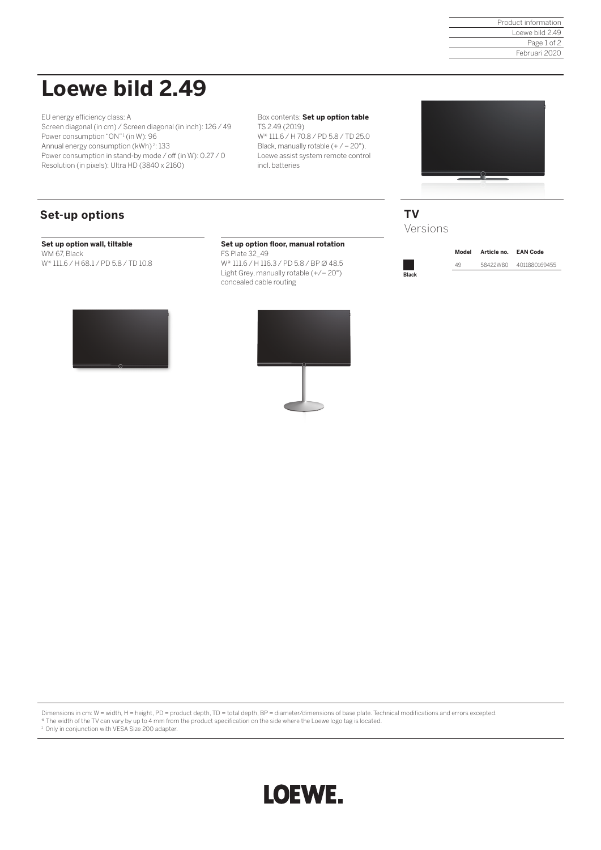Product information Loewe bild 2.49 Page 1 of 2 Februari 2020

# **Loewe bild 2.49**

EU energy efficiency class: A Screen diagonal (in cm) / Screen diagonal (in inch): 126 / 49 Power consumption "ON"<sup>1</sup> (in W): 96 Annual energy consumption (kWh) <sup>2</sup>: 133 Power consumption in stand-by mode / off (in W): 0.27 / 0 Resolution (in pixels): Ultra HD (3840 x 2160)

Box contents: **Set up option table**  TS 2.49 (2019) W\* 111.6 / H 70.8 / PD 5.8 / TD 25.0 Black, manually rotable  $(+/-20^{\circ})$ , Loewe assist system remote control



## **Set-up options**

#### **Set up option wall, tiltable**

WM 67, Black W\* 111.6 / H 68.1 / PD 5.8 / TD 10.8

#### **Set up option floor, manual rotation**

incl. batteries

FS Plate 32\_49 W\* 111.6 / H 116.3 / PD 5.8 / BP ∅ 48.5 Light Grey, manually rotable (+/– 20°) concealed cable routing





**Black**

**Model Article no. EAN Code** 49 58422W80 4011880169455

Dimensions in cm: W = width, H = height, PD = product depth, TD = total depth, BP = diameter/dimensions of base plate. Technical modifications and errors excepted.

\* The width of the TV can vary by up to 4 mm from the product specification on the side where the Loewe logo tag is located. 1 Only in conjunction with VESA Size 200 adapter.

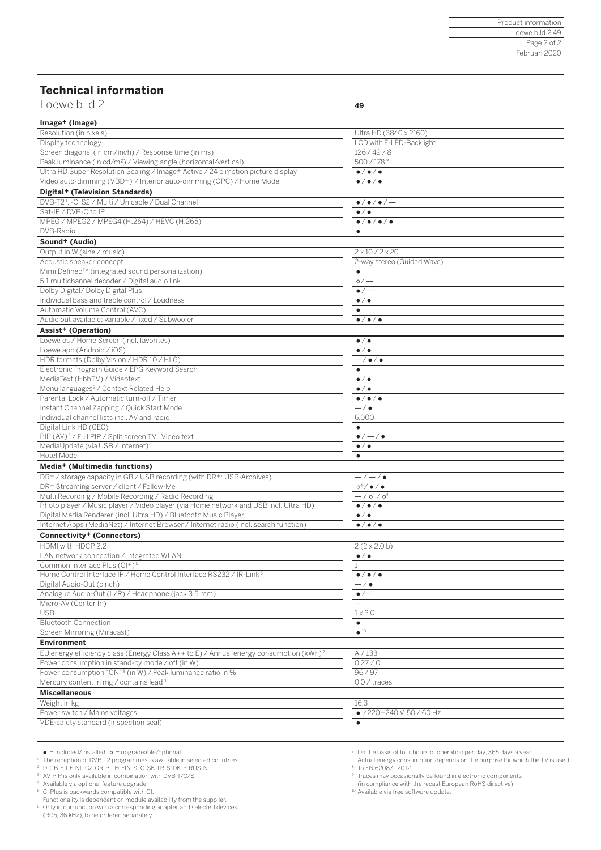### **Technical information**

Loewe bild 2 **49** 

| Image+ (Image)                                                                                    |                                                  |
|---------------------------------------------------------------------------------------------------|--------------------------------------------------|
| Resolution (in pixels)                                                                            | Ultra HD (3840 x 2160)                           |
| Display technology                                                                                | LCD with E-LED-Backlight                         |
| Screen diagonal (in cm/inch) / Response time (in ms)                                              | 126/49/8                                         |
| Peak luminance (in cd/m <sup>2</sup> ) / Viewing angle (horizontal/vertical)                      | 500/178°                                         |
| Ultra HD Super Resolution Scaling / Image+ Active / 24 p motion picture display                   | $\bullet/\bullet/\bullet$                        |
| Video auto-dimming (VBD+) / Interior auto-dimming (OPC) / Home Mode                               | $\bullet/\bullet/\bullet$                        |
| Digital+ (Television Standards)                                                                   |                                                  |
| DVB-T2 <sup>1</sup> , -C, S2 / Multi / Unicable / Dual Channel                                    | $\bullet$ / $\bullet$ / $\bullet$ / $\leftarrow$ |
| Sat-IP / DVB-C to IP                                                                              | $\bullet/\bullet$                                |
| MPEG / MPEG2 / MPEG4 (H.264) / HEVC (H.265)                                                       | $\bullet$ / $\bullet$ / $\bullet$ / $\bullet$    |
| DVB-Radio                                                                                         | $\bullet$                                        |
| Sound <sup>+</sup> (Audio)                                                                        |                                                  |
| Output in W (sine / music)                                                                        | $2 \times 10 / 2 \times 20$                      |
| Acoustic speaker concept                                                                          | 2-way stereo (Guided Wave)                       |
| Mimi Defined™ (integrated sound personalization)                                                  | $\bullet$                                        |
| 5.1 multichannel decoder / Digital audio link                                                     | $\circ$ / $-$                                    |
| Dolby Digital/ Dolby Digital Plus                                                                 | $\bullet/-$                                      |
| Individual bass and treble control / Loudness                                                     | $\bullet/\bullet$                                |
| Automatic Volume Control (AVC)                                                                    | $\bullet$                                        |
| Audio out available: variable / fixed / Subwoofer                                                 | $\bullet/\bullet/\bullet$                        |
| Assist+ (Operation)                                                                               |                                                  |
| Loewe os / Home Screen (incl. favorites)                                                          | $\bullet$ / $\bullet$                            |
| Loewe app (Android / iOS)                                                                         | $\bullet$ / $\bullet$                            |
| HDR formats (Dolby Vision / HDR 10 / HLG)                                                         | $-$ / $\bullet$ / $\bullet$                      |
| Electronic Program Guide / EPG Keyword Search                                                     | ٠                                                |
| MediaText (HbbTV) / Videotext                                                                     | $\bullet/\bullet$                                |
| Menu languages <sup>2</sup> / Context Related Help                                                | $\bullet$ / $\bullet$                            |
| Parental Lock / Automatic turn-off / Timer<br>Instant Channel Zapping / Quick Start Mode          | $\bullet/\bullet/\bullet$                        |
|                                                                                                   | $-$ / $\bullet$                                  |
| Individual channel lists incl. AV and radio                                                       | 6,000                                            |
| Digital Link HD (CEC)<br>PIP (AV) <sup>3</sup> / Full PIP / Split screen TV : Video text          | $\bullet$<br>$\bullet/-/\bullet$                 |
| MediaUpdate (via USB / Internet)                                                                  | $\bullet$ / $\bullet$                            |
| Hotel Mode                                                                                        | $\bullet$                                        |
| Media+ (Multimedia functions)                                                                     |                                                  |
| DR+ / storage capacity in GB / USB recording (with DR+: USB-Archives)                             | $-/-/$ $\bullet$                                 |
| DR+ Streaming server / client / Follow-Me                                                         | $o^4/$ $\bullet/$ $\bullet$                      |
| Multi Recording / Mobile Recording / Radio Recording                                              | $-$ / $o4$ / $o4$                                |
| Photo player / Music player / Video player (via Home network and USB incl. Ultra HD)              | $\bullet/\bullet/\bullet$                        |
| Digital Media Renderer (incl. Ultra HD) / Bluetooth Music Player                                  | $\bullet/\bullet$                                |
| Internet Apps (MediaNet) / Internet Browser / Internet radio (incl. search function)              | $\bullet/\bullet/\bullet$                        |
| Connectivity <sup>+</sup> (Connectors)                                                            |                                                  |
| HDMI with HDCP 2.2                                                                                | $2(2 \times 2.0 b)$                              |
| LAN network connection / integrated WLAN                                                          | $\bullet$ / $\bullet$                            |
| Common Interface Plus (CI+) <sup>5</sup>                                                          |                                                  |
| Home Control Interface IP / Home Control Interface RS232 / IR-Link <sup>6</sup>                   | $\bullet/\bullet/\bullet$                        |
| Digital Audio-Out (cinch)                                                                         | $-$ / $\bullet$                                  |
| Analogue Audio-Out (L/R) / Headphone (jack 3.5 mm)                                                | $\bullet$ /—                                     |
| Micro-AV (Center In)                                                                              |                                                  |
| <b>USB</b>                                                                                        | $1 \times 3.0$                                   |
| <b>Bluetooth Connection</b>                                                                       | ٠                                                |
| Screen Mirroring (Miracast)                                                                       | $\bullet$ 10                                     |
| <b>Environment</b>                                                                                |                                                  |
| EU energy efficiency class (Energy Class A++ to E) / Annual energy consumption (kWh) <sup>7</sup> | A / 133                                          |
| Power consumption in stand-by mode / off (in W)                                                   | 0,27/0                                           |
| Power consumption "ON" <sup>8</sup> (in W) / Peak luminance ratio in %                            | 96/97                                            |
| Mercury content in mg / contains lead <sup>9</sup>                                                | 0.0 / traces                                     |
| <b>Miscellaneous</b>                                                                              |                                                  |
| Weight in kg                                                                                      | 16.3                                             |
| Power switch / Mains voltages                                                                     | $\bullet$ /220 - 240 V, 50 / 60 Hz               |
| VDE-safety standard (inspection seal)                                                             | $\bullet$                                        |
|                                                                                                   |                                                  |
|                                                                                                   |                                                  |

● = included/installed o = upgradeable/optional<br>1 The reception of DVB-T2 programmes is available in selected countries.<br><sup>2</sup> D-GB-F-I-E-NL-CZ-GR-PL-H-FIN-SLO-SK-TR-S-DK-P-RUS-N

<sup>3</sup> AV-PIP is only available in combination with DVB-T/C/S.

<sup>4</sup> Available via optional feature upgrade. 5 CI Plus is backwards compatible with CI. Functionality is dependent on module availability from the supplier.

6 Only in conjunction with a corresponding adapter and selected devices (RC5, 36 kHz), to be ordered separately.

7 On the basis of four hours of operation per day, 365 days a year. Actual energy consumption depends on the purpose for which the TV is used. <sup>8</sup> To EN 62087 : 2012.

9 Traces may occasionally be found in electronic components

(in compliance with the recast European RoHS directive). 10 Available via free software update.